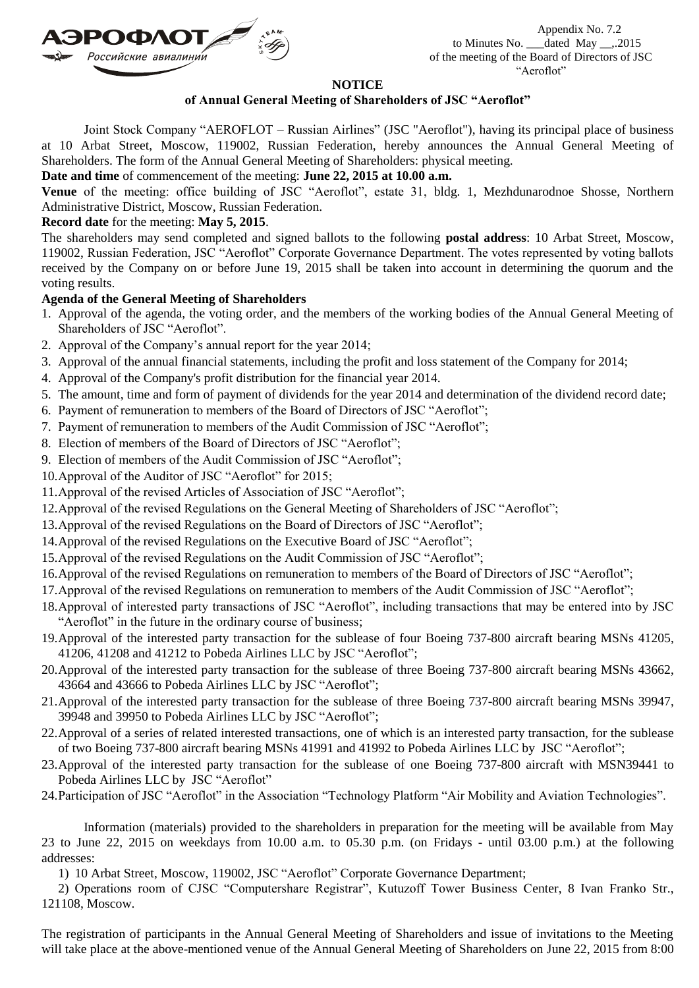

Appendix No. 7.2 to Minutes No. \_\_\_dated May \_\_,.2015 of the meeting of the Board of Directors of JSC "Aeroflot"

## **NOTICE**

## **of Annual General Meeting of Shareholders of JSC "Aeroflot"**

Joint Stock Company "AEROFLOT – Russian Airlines" (JSC "Aeroflot"), having its principal place of business at 10 Arbat Street, Moscow, 119002, Russian Federation, hereby announces the Annual General Meeting of Shareholders. The form of the Annual General Meeting of Shareholders: physical meeting.

**Date and time** of commencement of the meeting: **June 22, 2015 at 10.00 a.m.**

**Venue** of the meeting: office building of JSC "Aeroflot", estate 31, bldg. 1, Mezhdunarodnoe Shosse, Northern Administrative District, Moscow, Russian Federation.

## **Record date** for the meeting: **May 5, 2015**.

The shareholders may send completed and signed ballots to the following **postal address**: 10 Arbat Street, Moscow, 119002, Russian Federation, JSC "Aeroflot" Corporate Governance Department. The votes represented by voting ballots received by the Company on or before June 19, 2015 shall be taken into account in determining the quorum and the voting results.

## **Agenda of the General Meeting of Shareholders**

- 1. Approval of the agenda, the voting order, and the members of the working bodies of the Annual General Meeting of Shareholders of JSC "Aeroflot".
- 2. Approval of the Company's annual report for the year 2014;
- 3. Approval of the annual financial statements, including the profit and loss statement of the Company for 2014;
- 4. Approval of the Company's profit distribution for the financial year 2014.
- 5. The amount, time and form of payment of dividends for the year 2014 and determination of the dividend record date;
- 6. Payment of remuneration to members of the Board of Directors of JSC "Aeroflot";
- 7. Payment of remuneration to members of the Audit Commission of JSC "Aeroflot";
- 8. Election of members of the Board of Directors of JSC "Aeroflot";
- 9. Election of members of the Audit Commission of JSC "Aeroflot";
- 10.Approval of the Auditor of JSC "Aeroflot" for 2015;
- 11.Approval of the revised Articles of Association of JSC "Aeroflot";
- 12.Approval of the revised Regulations on the General Meeting of Shareholders of JSC "Aeroflot";
- 13.Approval of the revised Regulations on the Board of Directors of JSC "Aeroflot";
- 14.Approval of the revised Regulations on the Executive Board of JSC "Aeroflot";
- 15.Approval of the revised Regulations on the Audit Commission of JSC "Aeroflot";
- 16.Approval of the revised Regulations on remuneration to members of the Board of Directors of JSC "Aeroflot";
- 17.Approval of the revised Regulations on remuneration to members of the Audit Commission of JSC "Aeroflot";
- 18.Approval of interested party transactions of JSC "Aeroflot", including transactions that may be entered into by JSC "Aeroflot" in the future in the ordinary course of business;
- 19.Approval of the interested party transaction for the sublease of four Boeing 737-800 aircraft bearing MSNs 41205, 41206, 41208 and 41212 to Pobeda Airlines LLC by JSC "Aeroflot";
- 20.Approval of the interested party transaction for the sublease of three Boeing 737-800 aircraft bearing MSNs 43662, 43664 and 43666 to Pobeda Airlines LLC by JSC "Aeroflot";
- 21.Approval of the interested party transaction for the sublease of three Boeing 737-800 aircraft bearing MSNs 39947, 39948 and 39950 to Pobeda Airlines LLC by JSC "Aeroflot";
- 22.Approval of a series of related interested transactions, one of which is an interested party transaction, for the sublease of two Boeing 737-800 aircraft bearing MSNs 41991 and 41992 to Pobeda Airlines LLC by JSC "Aeroflot";
- 23.Approval of the interested party transaction for the sublease of one Boeing 737-800 aircraft with MSN39441 to Pobeda Airlines LLC by JSC "Aeroflot"
- 24.Participation of JSC "Aeroflot" in the Association "Technology Platform "Air Mobility and Aviation Technologies".

Information (materials) provided to the shareholders in preparation for the meeting will be available from May 23 to June 22, 2015 on weekdays from 10.00 a.m. to 05.30 p.m. (on Fridays - until 03.00 p.m.) at the following addresses:

1) 10 Arbat Street, Moscow, 119002, JSC "Aeroflot" Corporate Governance Department;

2) Operations room of CJSC "Computershare Registrar", Kutuzoff Tower Business Center, 8 Ivan Franko Str., 121108, Moscow.

The registration of participants in the Annual General Meeting of Shareholders and issue of invitations to the Meeting will take place at the above-mentioned venue of the Annual General Meeting of Shareholders on June 22, 2015 from 8:00